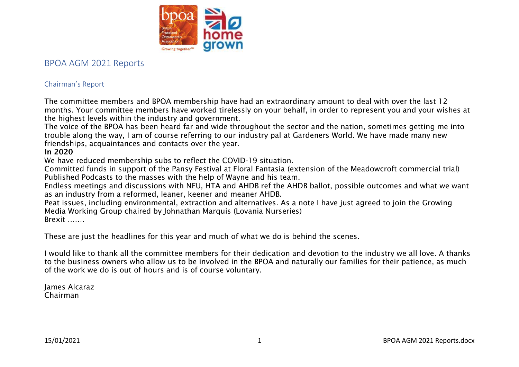

# BPOA AGM 2021 Reports

# Chairman's Report

The committee members and BPOA membership have had an extraordinary amount to deal with over the last 12 months. Your committee members have worked tirelessly on your behalf, in order to represent you and your wishes at the highest levels within the industry and government.

The voice of the BPOA has been heard far and wide throughout the sector and the nation, sometimes getting me into trouble along the way, I am of course referring to our industry pal at Gardeners World. We have made many new friendships, acquaintances and contacts over the year.

# In 2020

We have reduced membership subs to reflect the COVID-19 situation.

Committed funds in support of the Pansy Festival at Floral Fantasia (extension of the Meadowcroft commercial trial) Published Podcasts to the masses with the help of Wayne and his team.

Endless meetings and discussions with NFU, HTA and AHDB ref the AHDB ballot, possible outcomes and what we want as an industry from a reformed, leaner, keener and meaner AHDB.

Peat issues, including environmental, extraction and alternatives. As a note I have just agreed to join the Growing Media Working Group chaired by Johnathan Marquis (Lovania Nurseries) Brexit …….

These are just the headlines for this year and much of what we do is behind the scenes.

I would like to thank all the committee members for their dedication and devotion to the industry we all love. A thanks to the business owners who allow us to be involved in the BPOA and naturally our families for their patience, as much of the work we do is out of hours and is of course voluntary.

James Alcaraz Chairman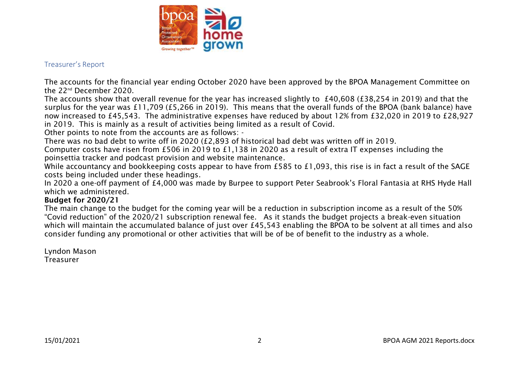

## Treasurer's Report

The accounts for the financial year ending October 2020 have been approved by the BPOA Management Committee on the 22nd December 2020.

The accounts show that overall revenue for the year has increased slightly to £40,608 (£38,254 in 2019) and that the surplus for the year was £11,709 (£5,266 in 2019). This means that the overall funds of the BPOA (bank balance) have now increased to £45,543. The administrative expenses have reduced by about 12% from £32,020 in 2019 to £28,927 in 2019. This is mainly as a result of activities being limited as a result of Covid.

Other points to note from the accounts are as follows: -

There was no bad debt to write off in 2020 (£2,893 of historical bad debt was written off in 2019.

Computer costs have risen from £506 in 2019 to £1,138 in 2020 as a result of extra IT expenses including the poinsettia tracker and podcast provision and website maintenance.

While accountancy and bookkeeping costs appear to have from £585 to £1,093, this rise is in fact a result of the SAGE costs being included under these headings.

In 2020 a one-off payment of £4,000 was made by Burpee to support Peter Seabrook's Floral Fantasia at RHS Hyde Hall which we administered.

#### Budget for 2020/21

The main change to the budget for the coming year will be a reduction in subscription income as a result of the 50% "Covid reduction" of the 2020/21 subscription renewal fee. As it stands the budget projects a break-even situation which will maintain the accumulated balance of just over £45,543 enabling the BPOA to be solvent at all times and also consider funding any promotional or other activities that will be of be of benefit to the industry as a whole.

Lyndon Mason Treasurer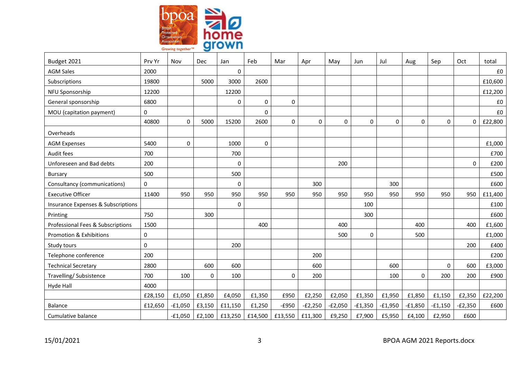

| Budget 2021                                   | Prv Yr  | Nov          | <b>Dec</b> | Jan         | Feb     | Mar       | Apr       | May         | Jun       | Jul         | Aug       | Sep         | Oct       | total   |
|-----------------------------------------------|---------|--------------|------------|-------------|---------|-----------|-----------|-------------|-----------|-------------|-----------|-------------|-----------|---------|
| <b>AGM Sales</b>                              | 2000    |              |            | $\mathbf 0$ |         |           |           |             |           |             |           |             |           | £0      |
| Subscriptions                                 | 19800   |              | 5000       | 3000        | 2600    |           |           |             |           |             |           |             |           | £10,600 |
| NFU Sponsorship                               | 12200   |              |            | 12200       |         |           |           |             |           |             |           |             |           | £12,200 |
| General sponsorship                           | 6800    |              |            | 0           | 0       | 0         |           |             |           |             |           |             |           | £0      |
| MOU (capitation payment)                      | 0       |              |            |             | 0       |           |           |             |           |             |           |             |           | £0      |
|                                               | 40800   | $\mathbf 0$  | 5000       | 15200       | 2600    | $\pmb{0}$ | 0         | $\mathbf 0$ | 0         | $\mathbf 0$ | $\pmb{0}$ | $\mathbf 0$ | 0         | £22,800 |
| Overheads                                     |         |              |            |             |         |           |           |             |           |             |           |             |           |         |
| <b>AGM Expenses</b>                           | 5400    | $\mathbf{0}$ |            | 1000        | 0       |           |           |             |           |             |           |             |           | £1,000  |
| Audit fees                                    | 700     |              |            | 700         |         |           |           |             |           |             |           |             |           | £700    |
| Unforeseen and Bad debts                      | 200     |              |            | $\mathbf 0$ |         |           |           | 200         |           |             |           |             | 0         | £200    |
| <b>Bursary</b>                                | 500     |              |            | 500         |         |           |           |             |           |             |           |             |           | £500    |
| Consultancy (communications)                  | 0       |              |            | $\mathbf 0$ |         |           | 300       |             |           | 300         |           |             |           | £600    |
| <b>Executive Officer</b>                      | 11400   | 950          | 950        | 950         | 950     | 950       | 950       | 950         | 950       | 950         | 950       | 950         | 950       | £11,400 |
| <b>Insurance Expenses &amp; Subscriptions</b> |         |              |            | $\pmb{0}$   |         |           |           |             | 100       |             |           |             |           | £100    |
| Printing                                      | 750     |              | 300        |             |         |           |           |             | 300       |             |           |             |           | £600    |
| Professional Fees & Subscriptions             | 1500    |              |            |             | 400     |           |           | 400         |           |             | 400       |             | 400       | £1,600  |
| <b>Promotion &amp; Exhibitions</b>            | 0       |              |            |             |         |           |           | 500         | 0         |             | 500       |             |           | £1,000  |
| Study tours                                   | 0       |              |            | 200         |         |           |           |             |           |             |           |             | 200       | £400    |
| Telephone conference                          | 200     |              |            |             |         |           | 200       |             |           |             |           |             |           | £200    |
| <b>Technical Secretary</b>                    | 2800    |              | 600        | 600         |         |           | 600       |             |           | 600         |           | $\Omega$    | 600       | £3,000  |
| Travelling/ Subsistence                       | 700     | 100          | 0          | 100         |         | $\pmb{0}$ | 200       |             |           | 100         | 0         | 200         | 200       | £900    |
| <b>Hyde Hall</b>                              | 4000    |              |            |             |         |           |           |             |           |             |           |             |           |         |
|                                               | £28,150 | £1,050       | £1,850     | £4,050      | £1,350  | £950      | £2,250    | £2,050      | £1,350    | £1,950      | £1,850    | £1,150      | £2,350    | £22,200 |
| <b>Balance</b>                                | £12,650 | $-£1,050$    | £3,150     | £11,150     | £1,250  | $-E950$   | $-E2,250$ | $-E2,050$   | $-£1,350$ | $-£1,950$   | $-£1,850$ | $-£1,150$   | $-E2,350$ | £600    |
| Cumulative balance                            |         | $-£1,050$    | £2,100     | £13,250     | £14,500 | £13,550   | £11,300   | £9,250      | £7,900    | £5,950      | £4,100    | £2,950      | £600      |         |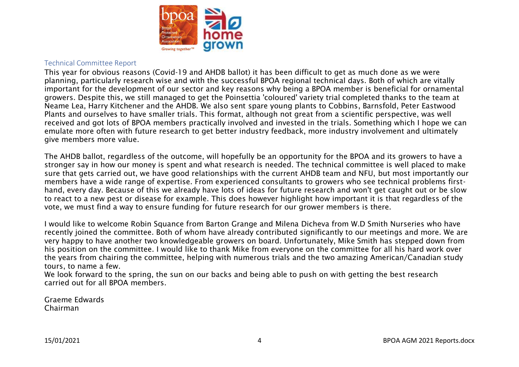

#### Technical Committee Report

This year for obvious reasons (Covid-19 and AHDB ballot) it has been difficult to get as much done as we were planning, particularly research wise and with the successful BPOA regional technical days. Both of which are vitally important for the development of our sector and key reasons why being a BPOA member is beneficial for ornamental growers. Despite this, we still managed to get the Poinsettia 'coloured' variety trial completed thanks to the team at Neame Lea, Harry Kitchener and the AHDB. We also sent spare young plants to Cobbins, Barnsfold, Peter Eastwood Plants and ourselves to have smaller trials. This format, although not great from a scientific perspective, was well received and got lots of BPOA members practically involved and invested in the trials. Something which I hope we can emulate more often with future research to get better industry feedback, more industry involvement and ultimately give members more value.

The AHDB ballot, regardless of the outcome, will hopefully be an opportunity for the BPOA and its growers to have a stronger say in how our money is spent and what research is needed. The technical committee is well placed to make sure that gets carried out, we have good relationships with the current AHDB team and NFU, but most importantly our members have a wide range of expertise. From experienced consultants to growers who see technical problems firsthand, every day. Because of this we already have lots of ideas for future research and won't get caught out or be slow to react to a new pest or disease for example. This does however highlight how important it is that regardless of the vote, we must find a way to ensure funding for future research for our grower members is there.

I would like to welcome Robin Squance from Barton Grange and Milena Dicheva from W.D Smith Nurseries who have recently joined the committee. Both of whom have already contributed significantly to our meetings and more. We are very happy to have another two knowledgeable growers on board. Unfortunately, Mike Smith has stepped down from his position on the committee. I would like to thank Mike from everyone on the committee for all his hard work over the years from chairing the committee, helping with numerous trials and the two amazing American/Canadian study tours, to name a few.

We look forward to the spring, the sun on our backs and being able to push on with getting the best research carried out for all BPOA members.

Graeme Edwards Chairman